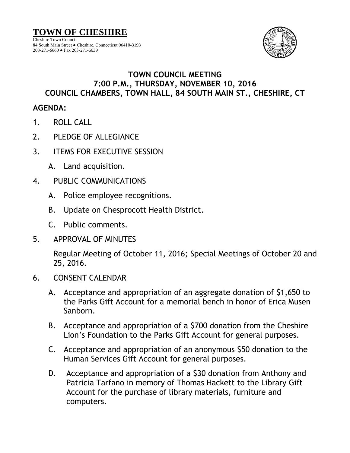

## **TOWN COUNCIL MEETING 7:00 P.M., THURSDAY, NOVEMBER 10, 2016 COUNCIL CHAMBERS, TOWN HALL, 84 SOUTH MAIN ST., CHESHIRE, CT**

## **AGENDA:**

- 1. ROLL CALL
- 2. PLEDGE OF ALLEGIANCE
- 3. ITEMS FOR EXECUTIVE SESSION
	- A. Land acquisition.
- 4. PUBLIC COMMUNICATIONS
	- A. Police employee recognitions.
	- B. Update on Chesprocott Health District.
	- C. Public comments.
- 5. APPROVAL OF MINUTES

Regular Meeting of October 11, 2016; Special Meetings of October 20 and 25, 2016.

- 6. CONSENT CALENDAR
	- A. Acceptance and appropriation of an aggregate donation of \$1,650 to the Parks Gift Account for a memorial bench in honor of Erica Musen Sanborn.
	- B. Acceptance and appropriation of a \$700 donation from the Cheshire Lion's Foundation to the Parks Gift Account for general purposes.
	- C. Acceptance and appropriation of an anonymous \$50 donation to the Human Services Gift Account for general purposes.
	- D. Acceptance and appropriation of a \$30 donation from Anthony and Patricia Tarfano in memory of Thomas Hackett to the Library Gift Account for the purchase of library materials, furniture and computers.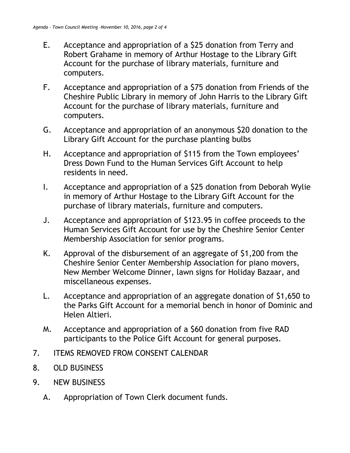- E. Acceptance and appropriation of a \$25 donation from Terry and Robert Grahame in memory of Arthur Hostage to the Library Gift Account for the purchase of library materials, furniture and computers.
- F. Acceptance and appropriation of a \$75 donation from Friends of the Cheshire Public Library in memory of John Harris to the Library Gift Account for the purchase of library materials, furniture and computers.
- G. Acceptance and appropriation of an anonymous \$20 donation to the Library Gift Account for the purchase planting bulbs
- H. Acceptance and appropriation of \$115 from the Town employees' Dress Down Fund to the Human Services Gift Account to help residents in need.
- I. Acceptance and appropriation of a \$25 donation from Deborah Wylie in memory of Arthur Hostage to the Library Gift Account for the purchase of library materials, furniture and computers.
- J. Acceptance and appropriation of \$123.95 in coffee proceeds to the Human Services Gift Account for use by the Cheshire Senior Center Membership Association for senior programs.
- K. Approval of the disbursement of an aggregate of \$1,200 from the Cheshire Senior Center Membership Association for piano movers, New Member Welcome Dinner, lawn signs for Holiday Bazaar, and miscellaneous expenses.
- L. Acceptance and appropriation of an aggregate donation of \$1,650 to the Parks Gift Account for a memorial bench in honor of Dominic and Helen Altieri.
- M. Acceptance and appropriation of a \$60 donation from five RAD participants to the Police Gift Account for general purposes.
- 7. ITEMS REMOVED FROM CONSENT CALENDAR
- 8. OLD BUSINESS
- 9. NEW BUSINESS
	- A. Appropriation of Town Clerk document funds.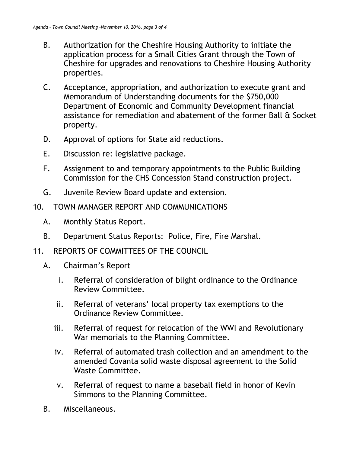- B. Authorization for the Cheshire Housing Authority to initiate the application process for a Small Cities Grant through the Town of Cheshire for upgrades and renovations to Cheshire Housing Authority properties.
- C. Acceptance, appropriation, and authorization to execute grant and Memorandum of Understanding documents for the \$750,000 Department of Economic and Community Development financial assistance for remediation and abatement of the former Ball & Socket property.
- D. Approval of options for State aid reductions.
- E. Discussion re: legislative package.
- F. Assignment to and temporary appointments to the Public Building Commission for the CHS Concession Stand construction project.
- G. Juvenile Review Board update and extension.
- 10. TOWN MANAGER REPORT AND COMMUNICATIONS
	- A. Monthly Status Report.
	- B. Department Status Reports: Police, Fire, Fire Marshal.
- 11. REPORTS OF COMMITTEES OF THE COUNCIL
	- A. Chairman's Report
		- i. Referral of consideration of blight ordinance to the Ordinance Review Committee.
		- ii. Referral of veterans' local property tax exemptions to the Ordinance Review Committee.
		- iii. Referral of request for relocation of the WWI and Revolutionary War memorials to the Planning Committee.
		- iv. Referral of automated trash collection and an amendment to the amended Covanta solid waste disposal agreement to the Solid Waste Committee.
		- v. Referral of request to name a baseball field in honor of Kevin Simmons to the Planning Committee.
	- B. Miscellaneous.